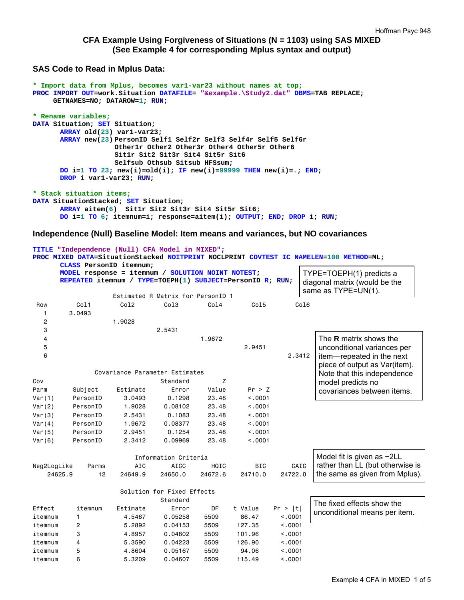## **CFA Example Using Forgiveness of Situations (N = 1103) using SAS MIXED (See Example 4 for corresponding Mplus syntax and output)**

#### **SAS Code to Read in Mplus Data:**

```
* Import data from Mplus, becomes var1-var23 without names at top;
PROC IMPORT OUT=work.Situation DATAFILE= "&example.\Study2.dat" DBMS=TAB REPLACE; 
      GETNAMES=NO; DATAROW=1; RUN; 
* Rename variables;
DATA Situation; SET Situation; 
      ARRAY old(23) var1-var23; 
      ARRAY new(23) PersonID Self1 Self2r Self3 Self4r Self5 Self6r 
                     Other1r Other2 Other3r Other4 Other5r Other6 
                     Sit1r Sit2 Sit3r Sit4 Sit5r Sit6 
                     Selfsub Othsub Sitsub HFSsum; 
      DO i=1 TO 23; new(i)=old(i); IF new(i)=99999 THEN new(i)=.; END; 
      DROP i var1-var23; RUN; 
* Stack situation items;
DATA SituationStacked; SET Situation; 
      ARRAY aitem(6) Sit1r Sit2 Sit3r Sit4 Sit5r Sit6; 
      DO i=1 TO 6; itemnum=i; response=aitem(i); OUTPUT; END; DROP i; RUN;
```
#### **Independence (Null) Baseline Model: Item means and variances, but NO covariances**

```
TITLE "Independence (Null) CFA Model in MIXED"; 
PROC MIXED DATA=SituationStacked NOITPRINT NOCLPRINT COVTEST IC NAMELEN=100 METHOD=ML; 
     CLASS PersonID itemnum; 
     MODEL response = itemnum / SOLUTION NOINT NOTEST; 
     REPEATED itemnum / TYPE=TOEPH(1) SUBJECT=PersonID R; RUN; 
                Estimated R Matrix for PersonID 1 
 Row Col1 Col2 Col3 Col4 Col5 Col6 
   1 3.0493 
   2 1.9028 
   3 2.5431 
 4 1.9672 
5 2.9451
6 2.3412
             Covariance Parameter Estimates 
Cov Coverage Coverage Coverage Standard Z
Parm Subject Estimate Error Value Pr > Z 
Var(1) PersonID 3.0493 0.1298 23.48 <.0001 
Var(2) PersonID 1.9028 0.08102 23.48 <.0001 
Var(3) PersonID 2.5431 0.1083 23.48 <.0001 
Var(4) PersonID 1.9672 0.08377 23.48 <.0001 
Var(5) PersonID 2.9451 0.1254 23.48 <.0001 
Var(6) PersonID 2.3412 0.09969 23.48 <.0001 
                     Information Criteria 
Neg2LogLike Parms AIC AICC HQIC BIC CAIC 
 24625.9 12 24649.9 24650.0 24672.6 24710.0 24722.0 
                  Solution for Fixed Effects 
                          Standard 
Effect itemnum Estimate Error DF t-Value Pr > |t|
itemnum 1 4.5467 0.05258 5509 86.47 <.0001 
itemnum 2 5.2892 0.04153 5509 127.35 <.0001 
itemnum 3 4.8957 0.04802 5509 101.96 <.0001 
itemnum 4 5.3590 0.04223 5509 126.90 <.0001 
itemnum 5 4.8604 0.05167 5509 94.06 <.0001 
itemnum 6 5.3209 0.04607 5509 115.49 <.0001
                                                        The R matrix shows the 
                                                        unconditional variances per 
                                                        item—repeated in the next 
                                                        piece of output as Var(item). 
                                                        Note that this independence 
                                                        model predicts no 
                                                        covariances between items. 
                                                       The fixed effects show the 
                                                       unconditional means per item. 
                                                       Model fit is given as −2LL 
                                                       rather than LL (but otherwise is 
                                                       the same as given from Mplus).
                                                     TYPE=TOEPH(1) predicts a 
                                                     diagonal matrix (would be the 
                                                     same as TYPE=UN(1).
```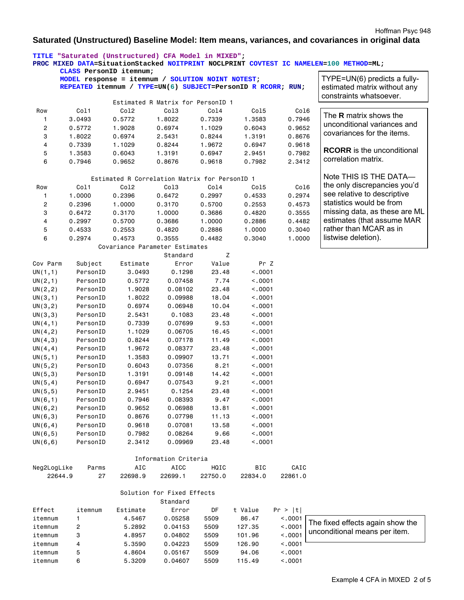#### Hoffman Psyc 948

### **Saturated (Unstructured) Baseline Model: Item means, variances, and covariances in original data**

|                      |          | TITLE "Saturated (Unstructured) CFA Model in MIXED";<br>CLASS PersonID itemnum;                                   |                                        |         |            |         | PROC MIXED DATA=SituationStacked NOITPRINT NOCLPRINT COVTEST IC NAMELEN=100 METHOD=ML;  |
|----------------------|----------|-------------------------------------------------------------------------------------------------------------------|----------------------------------------|---------|------------|---------|-----------------------------------------------------------------------------------------|
|                      |          | MODEL response = itemnum / SOLUTION NOINT NOTEST;<br>REPEATED itemnum / TYPE=UN(6) SUBJECT=PersonID R RCORR; RUN; |                                        |         |            |         | TYPE=UN(6) predicts a fully-<br>estimated matrix without any<br>constraints whatsoever. |
|                      |          |                                                                                                                   | Estimated R Matrix for PersonID 1      |         |            |         |                                                                                         |
| Row                  | Col1     | Co12                                                                                                              | Co13                                   | Co14    | Col5       | Col6    |                                                                                         |
| 1                    | 3.0493   | 0.5772                                                                                                            | 1.8022                                 | 0.7339  | 1.3583     | 0.7946  | The <b>R</b> matrix shows the                                                           |
| 2                    | 0.5772   | 1.9028                                                                                                            | 0.6974                                 | 1.1029  | 0.6043     | 0.9652  | unconditional variances and                                                             |
| 3                    | 1.8022   | 0.6974                                                                                                            | 2.5431                                 | 0.8244  | 1.3191     | 0.8676  | covariances for the items.                                                              |
| 4                    | 0.7339   | 1.1029                                                                                                            | 0.8244                                 | 1.9672  | 0.6947     | 0.9618  |                                                                                         |
| 5                    | 1.3583   | 0.6043                                                                                                            | 1.3191                                 | 0.6947  | 2.9451     | 0.7982  | <b>RCORR</b> is the unconditional                                                       |
| 6                    | 0.7946   | 0.9652                                                                                                            | 0.8676                                 | 0.9618  | 0.7982     | 2.3412  | correlation matrix.                                                                     |
|                      |          | Estimated R Correlation Matrix for PersonID 1                                                                     |                                        |         |            |         | Note THIS IS THE DATA-                                                                  |
| Row                  | Col1     | Col <sub>2</sub>                                                                                                  | Co13                                   | Col4    | Col5       | Col6    | the only discrepancies you'd                                                            |
| 1                    | 1.0000   | 0.2396                                                                                                            | 0.6472                                 | 0.2997  | 0.4533     | 0.2974  | see relative to descriptive                                                             |
| 2                    | 0.2396   | 1.0000                                                                                                            | 0.3170                                 | 0.5700  | 0.2553     | 0.4573  | statistics would be from                                                                |
| 3                    | 0.6472   | 0.3170                                                                                                            | 1.0000                                 | 0.3686  | 0.4820     | 0.3555  | missing data, as these are ML                                                           |
| 4                    | 0.2997   | 0.5700                                                                                                            | 0.3686                                 | 1.0000  | 0.2886     | 0.4482  | estimates (that assume MAR                                                              |
| 5                    | 0.4533   | 0.2553                                                                                                            | 0.4820                                 | 0.2886  | 1.0000     | 0.3040  | rather than MCAR as in                                                                  |
| 6                    | 0.2974   | 0.4573                                                                                                            | 0.3555                                 | 0.4482  | 0.3040     | 1.0000  | listwise deletion).                                                                     |
|                      |          | Covariance Parameter Estimates                                                                                    |                                        |         |            |         |                                                                                         |
|                      |          |                                                                                                                   | Standard                               | Z       |            |         |                                                                                         |
| Cov Parm             | Subject  | Estimate                                                                                                          | Error                                  | Value   | Pr Z       |         |                                                                                         |
| UN(1,1)              | PersonID | 3.0493                                                                                                            | 0.1298                                 | 23.48   | < .0001    |         |                                                                                         |
| UN(2,1)              | PersonID | 0.5772                                                                                                            | 0.07458                                | 7.74    | < .0001    |         |                                                                                         |
| UN(2, 2)             | PersonID | 1.9028                                                                                                            | 0.08102                                | 23.48   | < 0001     |         |                                                                                         |
| UN(3,1)              | PersonID | 1.8022                                                                                                            | 0.09988                                | 18.04   | < .0001    |         |                                                                                         |
| UN(3, 2)             | PersonID | 0.6974                                                                                                            | 0.06948                                | 10.04   | < 0001     |         |                                                                                         |
| UN(3,3)              | PersonID | 2.5431                                                                                                            | 0.1083                                 | 23.48   | < 0001     |         |                                                                                         |
| UN(4,1)              | PersonID | 0.7339                                                                                                            | 0.07699                                | 9.53    | < 0001     |         |                                                                                         |
| UN(4, 2)             | PersonID | 1.1029                                                                                                            | 0.06705                                | 16.45   | < .0001    |         |                                                                                         |
| UN(4,3)              | PersonID | 0.8244                                                                                                            | 0.07178                                | 11.49   | < .0001    |         |                                                                                         |
| UN(4, 4)             | PersonID | 1.9672                                                                                                            | 0.08377                                | 23.48   | < 0001     |         |                                                                                         |
| UN(5,1)              | PersonID | 1.3583                                                                                                            | 0.09907                                | 13.71   | < 0001     |         |                                                                                         |
| UN(5, 2)             | PersonID | 0.6043                                                                                                            | 0.07356                                | 8.21    | < .0001    |         |                                                                                         |
| UN(5,3)              | PersonID | 1.3191                                                                                                            | 0.09148                                | 14.42   | < 0001     |         |                                                                                         |
| UN(5, 4)             | PersonID | 0.6947                                                                                                            | 0.07543                                | 9.21    | < 0001     |         |                                                                                         |
| UN(5, 5)             | PersonID | 2.9451                                                                                                            | 0.1254                                 | 23.48   | < .0001    |         |                                                                                         |
| UN(6, 1)             | PersonID | 0.7946                                                                                                            | 0.08393                                | 9.47    | < .0001    |         |                                                                                         |
| UN(6, 2)             | PersonID | 0.9652                                                                                                            | 0.06988                                | 13.81   | < .0001    |         |                                                                                         |
| UN(6,3)              | PersonID | 0.8676                                                                                                            | 0.07798                                | 11.13   | < .0001    |         |                                                                                         |
| UN(6, 4)             | PersonID | 0.9618                                                                                                            | 0.07081                                | 13.58   | < .0001    |         |                                                                                         |
|                      | PersonID | 0.7982                                                                                                            | 0.08264                                | 9.66    | < 0001     |         |                                                                                         |
| UN(6, 5)<br>UN(6, 6) | PersonID | 2.3412                                                                                                            | 0.09969                                | 23.48   | < 0001     |         |                                                                                         |
|                      |          |                                                                                                                   | Information Criteria                   |         |            |         |                                                                                         |
| Neg2LogLike          | Parms    | AIC                                                                                                               | AICC                                   | HQIC    | <b>BIC</b> | CAIC    |                                                                                         |
| 22644.9              |          |                                                                                                                   |                                        |         | 22834.0    | 22861.0 |                                                                                         |
|                      | 27       | 22698.9                                                                                                           | 22699.1                                | 22750.0 |            |         |                                                                                         |
|                      |          |                                                                                                                   | Solution for Fixed Effects<br>Standard |         |            |         |                                                                                         |
| Effect               | itemnum  | Estimate                                                                                                          | Error                                  | DF      | t Value    | Pr >  t |                                                                                         |
| itemnum              | 1        | 4.5467                                                                                                            | 0.05258                                | 5509    | 86.47      | < .0001 |                                                                                         |
| itemnum              | 2        | 5.2892                                                                                                            | 0.04153                                | 5509    | 127.35     | < .0001 | The fixed effects again show the                                                        |
| itemnum              | 3        | 4.8957                                                                                                            | 0.04802                                | 5509    | 101.96     | < .0001 | unconditional means per item.                                                           |
| itemnum              | 4        | 5.3590                                                                                                            | 0.04223                                | 5509    | 126.90     | < .0001 |                                                                                         |
| itemnum              | 5        | 4.8604                                                                                                            | 0.05167                                | 5509    | 94.06      | < .0001 |                                                                                         |
| itemnum              | 6        | 5.3209                                                                                                            | 0.04607                                | 5509    | 115.49     | < .0001 |                                                                                         |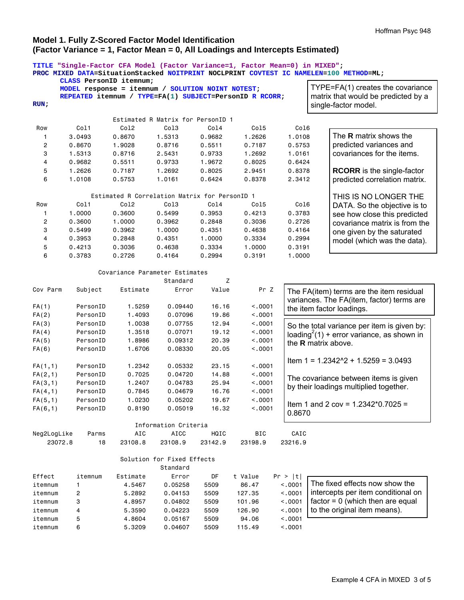# **Model 1. Fully Z-Scored Factor Model Identification (Factor Variance = 1, Factor Mean = 0, All Loadings and Intercepts Estimated)**

|             | TITLE "Single-Factor CFA Model (Factor Variance=1, Factor Mean=0) in MIXED";<br>CLASS PersonID itemnum; |                                               |                                        |                                   |         |         | PROC MIXED DATA=SituationStacked NOITPRINT NOCLPRINT COVTEST IC NAMELEN=100 METHOD=ML; |
|-------------|---------------------------------------------------------------------------------------------------------|-----------------------------------------------|----------------------------------------|-----------------------------------|---------|---------|----------------------------------------------------------------------------------------|
|             | MODEL response = itemnum / SOLUTION NOINT NOTEST;                                                       |                                               |                                        | TYPE=FA(1) creates the covariance |         |         |                                                                                        |
|             | REPEATED itemnum / TYPE=FA(1) SUBJECT=PersonID R RCORR;                                                 |                                               |                                        |                                   |         |         | matrix that would be predicted by a                                                    |
| RUN:        |                                                                                                         |                                               |                                        |                                   |         |         | single-factor model.                                                                   |
|             |                                                                                                         |                                               | Estimated R Matrix for PersonID 1      |                                   |         |         |                                                                                        |
| Row         | Col1                                                                                                    | Co12                                          | Col <sub>3</sub>                       | Col4                              | Col5    | Col6    |                                                                                        |
| 1           | 3.0493                                                                                                  | 0.8670                                        | 1.5313                                 | 0.9682                            | 1.2626  | 1.0108  | The R matrix shows the                                                                 |
| 2           | 0.8670                                                                                                  | 1.9028                                        | 0.8716                                 | 0.5511                            | 0.7187  | 0.5753  | predicted variances and                                                                |
| 3           | 1.5313                                                                                                  | 0.8716                                        | 2.5431                                 | 0.9733                            | 1.2692  | 1.0161  | covariances for the items.                                                             |
| 4           | 0.9682                                                                                                  | 0.5511                                        | 0.9733                                 | 1.9672                            | 0.8025  | 0.6424  |                                                                                        |
| 5           | 1.2626                                                                                                  | 0.7187                                        | 1.2692                                 | 0.8025                            | 2.9451  | 0.8378  | <b>RCORR</b> is the single-factor                                                      |
| 6           | 1.0108                                                                                                  | 0.5753                                        | 1.0161                                 | 0.6424                            | 0.8378  | 2.3412  | predicted correlation matrix.                                                          |
|             |                                                                                                         |                                               |                                        |                                   |         |         |                                                                                        |
|             |                                                                                                         | Estimated R Correlation Matrix for PersonID 1 |                                        |                                   |         |         | THIS IS NO LONGER THE                                                                  |
| Row         | Col1                                                                                                    | Co12                                          | Col3                                   | Co14                              | Col5    | Co16    | DATA. So the objective is to                                                           |
| 1           | 1.0000                                                                                                  | 0.3600                                        | 0.5499                                 | 0.3953                            | 0.4213  | 0.3783  | see how close this predicted                                                           |
| 2           | 0.3600                                                                                                  | 1.0000                                        | 0.3962                                 | 0.2848                            | 0.3036  | 0.2726  | covariance matrix is from the                                                          |
| 3           | 0.5499                                                                                                  | 0.3962                                        | 1.0000                                 | 0.4351                            | 0.4638  | 0.4164  | one given by the saturated                                                             |
| 4           | 0.3953                                                                                                  | 0.2848                                        | 0.4351                                 | 1.0000                            | 0.3334  | 0.2994  | model (which was the data).                                                            |
| 5           | 0.4213                                                                                                  | 0.3036                                        | 0.4638                                 | 0.3334                            | 1.0000  | 0.3191  |                                                                                        |
| 6           | 0.3783                                                                                                  | 0.2726                                        | 0.4164                                 | 0.2994                            | 0.3191  | 1.0000  |                                                                                        |
|             |                                                                                                         | Covariance Parameter Estimates                |                                        |                                   |         |         |                                                                                        |
|             |                                                                                                         |                                               | Standard                               | Z                                 |         |         |                                                                                        |
| Cov Parm    | Subject                                                                                                 | Estimate                                      | Error                                  | Value                             | Pr Z    |         | The FA(item) terms are the item residual                                               |
|             |                                                                                                         |                                               |                                        |                                   |         |         | variances. The FA(item, factor) terms are                                              |
| FA(1)       | PersonID                                                                                                | 1.5259                                        | 0.09440                                | 16.16                             | < .0001 |         | the item factor loadings.                                                              |
| FA(2)       | PersonID                                                                                                | 1.4093                                        | 0.07096                                | 19.86                             | < .0001 |         |                                                                                        |
| FA(3)       | PersonID                                                                                                | 1.0038                                        | 0.07755                                | 12.94                             | < .0001 |         | So the total variance per item is given by:                                            |
| FA(4)       | PersonID                                                                                                | 1.3518                                        | 0.07071                                | 19.12                             | < .0001 |         | loading <sup>2</sup> (1) + error variance, as shown in                                 |
| FA(5)       | PersonID                                                                                                | 1.8986                                        | 0.09312                                | 20.39                             | < .0001 |         | the <b>R</b> matrix above.                                                             |
| FA(6)       | PersonID                                                                                                | 1.6706                                        | 0.08330                                | 20.05                             | < .0001 |         |                                                                                        |
| FA(1,1)     | PersonID                                                                                                | 1.2342                                        | 0.05332                                | 23.15                             | < .0001 |         | Item $1 = 1.2342^2 + 1.5259 = 3.0493$                                                  |
| FA(2,1)     | PersonID                                                                                                | 0.7025                                        | 0.04720                                | 14.88                             | < .0001 |         |                                                                                        |
| FA(3,1)     | PersonID                                                                                                | 1.2407                                        | 0.04783                                | 25.94                             | < .0001 |         | The covariance between items is given                                                  |
| FA(4,1)     | PersonID                                                                                                | 0.7845                                        | 0.04679                                | 16.76                             | < .0001 |         | by their loadings multiplied together.                                                 |
| FA(5,1)     | PersonID                                                                                                | 1.0230                                        | 0.05202                                | 19.67                             | < .0001 |         |                                                                                        |
| FA(6,1)     | PersonID                                                                                                | 0.8190                                        | 0.05019                                | 16.32                             | < .0001 |         | Item 1 and 2 cov = $1.2342*0.7025$ =                                                   |
|             |                                                                                                         |                                               |                                        |                                   |         | 0.8670  |                                                                                        |
|             |                                                                                                         |                                               | Information Criteria                   |                                   |         |         |                                                                                        |
| Neg2LogLike | Parms                                                                                                   | AIC                                           | AICC                                   | HQIC                              | BIC     | CAIC    |                                                                                        |
| 23072.8     | 18                                                                                                      | 23108.8                                       | 23108.9                                | 23142.9                           | 23198.9 | 23216.9 |                                                                                        |
|             |                                                                                                         |                                               | Solution for Fixed Effects<br>Standard |                                   |         |         |                                                                                        |
| Effect      | itemnum                                                                                                 | Estimate                                      | Error                                  | DF                                | t Value | Pr >  t |                                                                                        |
| itemnum     | 1                                                                                                       | 4.5467                                        | 0.05258                                | 5509                              | 86.47   | < .0001 | The fixed effects now show the                                                         |
| itemnum     | $\overline{\mathbf{c}}$                                                                                 | 5.2892                                        | 0.04153                                | 5509                              | 127.35  | < .0001 | intercepts per item conditional on                                                     |
| itemnum     | 3                                                                                                       | 4.8957                                        | 0.04802                                | 5509                              | 101.96  | < .0001 | $factor = 0$ (which then are equal                                                     |
| itemnum     | 4                                                                                                       | 5.3590                                        | 0.04223                                | 5509                              | 126.90  | < .0001 | to the original item means).                                                           |
| itemnum     | 5                                                                                                       | 4.8604                                        | 0.05167                                | 5509                              | 94.06   | < .0001 |                                                                                        |
| itemnum     | 6                                                                                                       | 5.3209                                        | 0.04607                                | 5509                              | 115.49  | < .0001 |                                                                                        |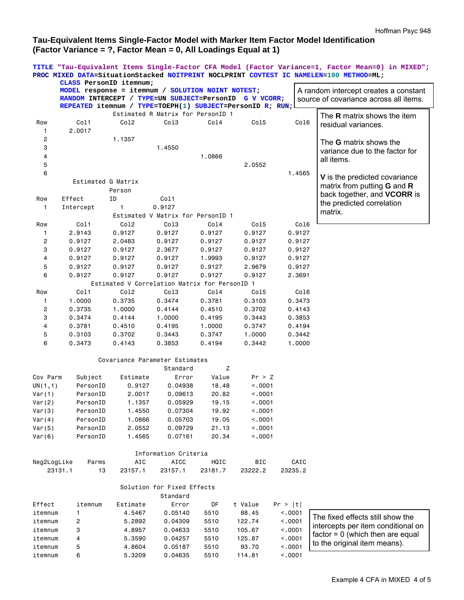# **Tau-Equivalent Items Single-Factor Model with Marker Item Factor Model Identification (Factor Variance = ?, Factor Mean = 0, All Loadings Equal at 1)**

**TITLE "Tau-Equivalent Items Single-Factor CFA Model (Factor Variance=1, Factor Mean=0) in MIXED"; PROC MIXED DATA=SituationStacked NOITPRINT NOCLPRINT COVTEST IC NAMELEN=100 METHOD=ML;** 

|                | CLASS PersonID itemnum;                                   |                                               |                                   |         |            |         |                                           |
|----------------|-----------------------------------------------------------|-----------------------------------------------|-----------------------------------|---------|------------|---------|-------------------------------------------|
|                | MODEL response = itemnum / SOLUTION NOINT NOTEST;         |                                               |                                   |         |            |         | A random intercept creates a constant     |
|                | RANDOM INTERCEPT / TYPE=UN SUBJECT=PersonID               |                                               |                                   |         | G V VCORR; |         | source of covariance across all items.    |
|                | REPEATED itemnum / TYPE=TOEPH(1) SUBJECT=PersonID R; RUN; |                                               |                                   |         |            |         |                                           |
|                |                                                           |                                               | Estimated R Matrix for PersonID 1 |         |            |         | The <b>R</b> matrix shows the item        |
| Row            | Col1                                                      | Co12                                          | Col3                              | Col4    | Col5       | Col6    | residual variances.                       |
| 1              | 2.0017                                                    |                                               |                                   |         |            |         |                                           |
| 2              |                                                           | 1.1357                                        |                                   |         |            |         | The G matrix shows the                    |
| 3              |                                                           |                                               | 1.4550                            |         |            |         | variance due to the factor for            |
| 4              |                                                           |                                               |                                   | 1.0866  |            |         | all items.                                |
| 5              |                                                           |                                               |                                   |         | 2.0552     |         |                                           |
| 6              |                                                           |                                               |                                   |         |            | 1.4565  |                                           |
|                | Estimated G Matrix                                        |                                               |                                   |         |            |         | V is the predicted covariance             |
|                |                                                           | Person                                        |                                   |         |            |         | matrix from putting <b>G</b> and <b>R</b> |
| Row            | Effect                                                    | ID                                            | Col1                              |         |            |         | back together, and VCORR is               |
| 1              | Intercept                                                 | 1                                             | 0.9127                            |         |            |         | the predicted correlation                 |
|                |                                                           |                                               | Estimated V Matrix for PersonID 1 |         |            |         | matrix.                                   |
| Row            | Col1                                                      | Co12                                          | Col3                              | Col4    | Col5       | Col6    |                                           |
| 1              | 2.9143                                                    | 0.9127                                        | 0.9127                            | 0.9127  | 0.9127     | 0.9127  |                                           |
| $\overline{c}$ | 0.9127                                                    | 2.0483                                        | 0.9127                            | 0.9127  | 0.9127     | 0.9127  |                                           |
| 3              | 0.9127                                                    | 0.9127                                        | 2.3677                            | 0.9127  | 0.9127     | 0.9127  |                                           |
| 4              | 0.9127                                                    | 0.9127                                        | 0.9127                            | 1.9993  | 0.9127     | 0.9127  |                                           |
| 5              | 0.9127                                                    | 0.9127                                        | 0.9127                            | 0.9127  | 2.9679     | 0.9127  |                                           |
| 6              | 0.9127                                                    | 0.9127                                        | 0.9127                            | 0.9127  | 0.9127     | 2.3691  |                                           |
|                |                                                           | Estimated V Correlation Matrix for PersonID 1 |                                   |         |            |         |                                           |
|                |                                                           |                                               |                                   |         |            |         |                                           |
| Row            | Col1                                                      | Col <sub>2</sub>                              | Col3                              | Col4    | Col5       | Col6    |                                           |
| 1              | 1.0000                                                    | 0.3735                                        | 0.3474                            | 0.3781  | 0.3103     | 0.3473  |                                           |
| 2              | 0.3735                                                    | 1.0000                                        | 0.4144                            | 0.4510  | 0.3702     | 0.4143  |                                           |
| 3              | 0.3474                                                    | 0.4144                                        | 1.0000                            | 0.4195  | 0.3443     | 0.3853  |                                           |
| 4              | 0.3781                                                    | 0.4510                                        | 0.4195                            | 1.0000  | 0.3747     | 0.4194  |                                           |
| 5              | 0.3103                                                    | 0.3702                                        | 0.3443                            | 0.3747  | 1.0000     | 0.3442  |                                           |
| 6              | 0.3473                                                    | 0.4143                                        | 0.3853                            | 0.4194  | 0.3442     | 1.0000  |                                           |
|                |                                                           | Covariance Parameter Estimates                |                                   |         |            |         |                                           |
|                |                                                           |                                               | Standard                          | Ζ       |            |         |                                           |
| Cov Parm       | Subject                                                   | Estimate                                      | Error                             | Value   | Pr > Z     |         |                                           |
|                | PersonID                                                  |                                               |                                   | 18.48   |            |         |                                           |
| UN(1,1)        | PersonID                                                  | 0.9127                                        | 0.04938                           | 20.82   | < .0001    |         |                                           |
| Var(1)         |                                                           | 2.0017                                        | 0.09613                           |         | < .0001    |         |                                           |
| Var(2)         | PersonID                                                  | 1.1357                                        | 0.05929                           | 19.15   | < .0001    |         |                                           |
| Var(3)         | PersonID                                                  | 1.4550                                        | 0.07304                           | 19.92   | < 0.001    |         |                                           |
| Var(4)         | PersonID                                                  | 1.0866                                        | 0.05703                           | 19.05   | < .0001    |         |                                           |
| Var(5)         | PersonID                                                  | 2.0552                                        | 0.09729                           | 21.13   | < .0001    |         |                                           |
| Var(6)         | PersonID                                                  | 1.4565                                        | 0.07161                           | 20.34   | < .0001    |         |                                           |
|                |                                                           |                                               | Information Criteria              |         |            |         |                                           |
| Neg2LogLike    | Parms                                                     | AIC                                           | <b>AICC</b>                       | HQIC    | BIC        | CAIC    |                                           |
| 23131.1        | 13                                                        | 23157.1                                       | 23157.1                           | 23181.7 | 23222.2    | 23235.2 |                                           |
|                |                                                           |                                               |                                   |         |            |         |                                           |
|                |                                                           |                                               | Solution for Fixed Effects        |         |            |         |                                           |
|                |                                                           |                                               | Standard                          |         |            |         |                                           |
| Effect         | itemnum                                                   | Estimate                                      | Error                             | DF      | t Value    | Pr >  t |                                           |
| itemnum        | 1                                                         | 4.5467                                        | 0.05140                           | 5510    | 88.45      | < .0001 | The fixed effects still show the          |
| itemnum        | 2                                                         | 5.2892                                        | 0.04309                           | 5510    | 122.74     | < .0001 |                                           |
| itemnum        | 3                                                         | 4.8957                                        | 0.04633                           | 5510    | 105.67     | < .0001 | intercepts per item conditional on        |
| itemnum        | 4                                                         | 5.3590                                        | 0.04257                           | 5510    | 125.87     | < .0001 | $factor = 0$ (which then are equal        |
| itemnum        | 5                                                         | 4.8604                                        | 0.05187                           | 5510    | 93.70      | < .0001 | to the original item means).              |
| itemnum        | 6                                                         | 5.3209                                        | 0.04635                           | 5510    | 114.81     | < .0001 |                                           |